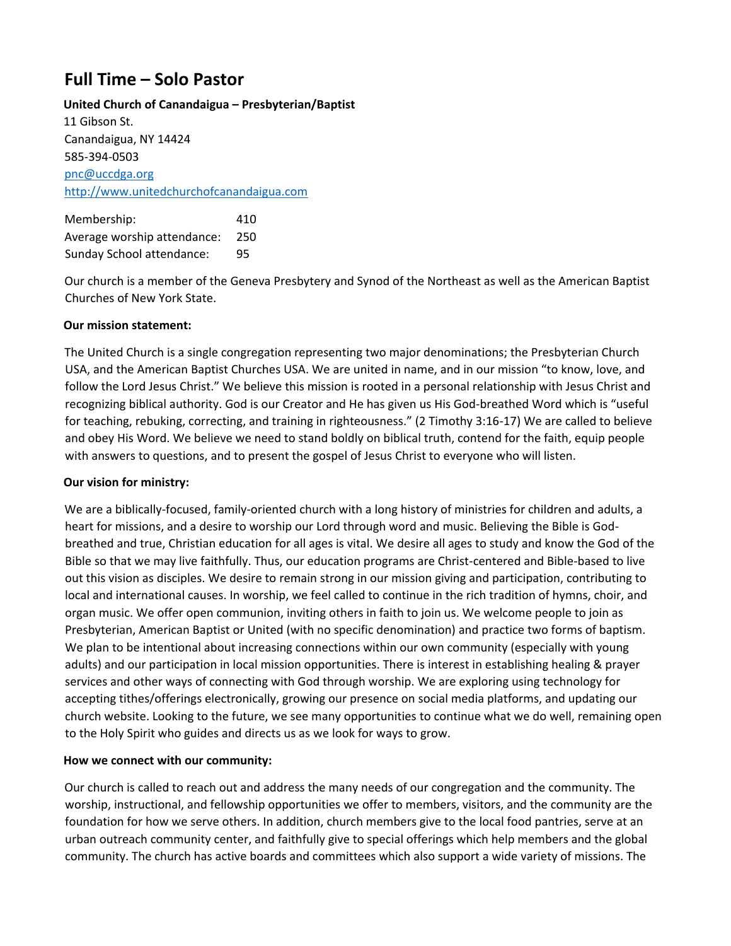# **Full Time – Solo Pastor**

#### **United Church of Canandaigua – Presbyterian/Baptist**

11 Gibson St. Canandaigua, NY 14424 585-394-0503 pnc@uccdga.org [http://www.unitedchurchofcanandaigua.com](http://www.unitedchurchofcanandaigua.com/)

Membership: 410 Average worship attendance: 250 Sunday School attendance: 95

Our church is a member of the Geneva Presbytery and Synod of the Northeast as well as the American Baptist Churches of New York State.

## **Our mission statement:**

The United Church is a single congregation representing two major denominations; the Presbyterian Church USA, and the American Baptist Churches USA. We are united in name, and in our mission "to know, love, and follow the Lord Jesus Christ." We believe this mission is rooted in a personal relationship with Jesus Christ and recognizing biblical authority. God is our Creator and He has given us His God-breathed Word which is "useful for teaching, rebuking, correcting, and training in righteousness." (2 Timothy 3:16-17) We are called to believe and obey His Word. We believe we need to stand boldly on biblical truth, contend for the faith, equip people with answers to questions, and to present the gospel of Jesus Christ to everyone who will listen.

#### **Our vision for ministry:**

We are a biblically-focused, family-oriented church with a long history of ministries for children and adults, a heart for missions, and a desire to worship our Lord through word and music. Believing the Bible is Godbreathed and true, Christian education for all ages is vital. We desire all ages to study and know the God of the Bible so that we may live faithfully. Thus, our education programs are Christ-centered and Bible-based to live out this vision as disciples. We desire to remain strong in our mission giving and participation, contributing to local and international causes. In worship, we feel called to continue in the rich tradition of hymns, choir, and organ music. We offer open communion, inviting others in faith to join us. We welcome people to join as Presbyterian, American Baptist or United (with no specific denomination) and practice two forms of baptism. We plan to be intentional about increasing connections within our own community (especially with young adults) and our participation in local mission opportunities. There is interest in establishing healing & prayer services and other ways of connecting with God through worship. We are exploring using technology for accepting tithes/offerings electronically, growing our presence on social media platforms, and updating our church website. Looking to the future, we see many opportunities to continue what we do well, remaining open to the Holy Spirit who guides and directs us as we look for ways to grow.

#### **How we connect with our community:**

Our church is called to reach out and address the many needs of our congregation and the community. The worship, instructional, and fellowship opportunities we offer to members, visitors, and the community are the foundation for how we serve others. In addition, church members give to the local food pantries, serve at an urban outreach community center, and faithfully give to special offerings which help members and the global community. The church has active boards and committees which also support a wide variety of missions. The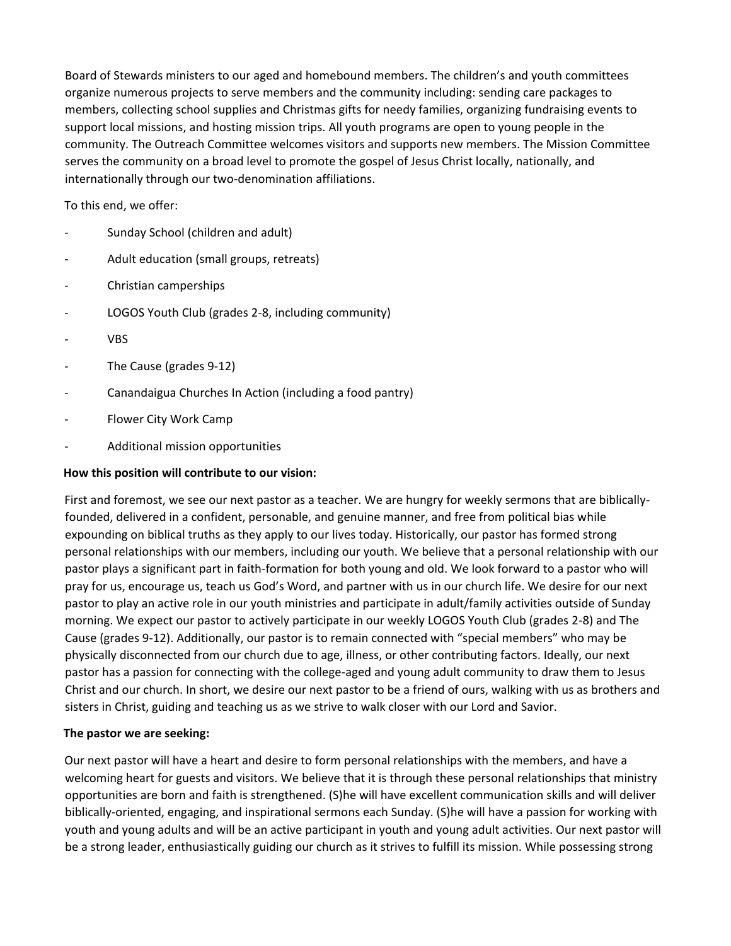Board of Stewards ministers to our aged and homebound members. The children's and youth committees organize numerous projects to serve members and the community including: sending care packages to members, collecting school supplies and Christmas gifts for needy families, organizing fundraising events to support local missions, and hosting mission trips. All youth programs are open to young people in the community. The Outreach Committee welcomes visitors and supports new members. The Mission Committee serves the community on a broad level to promote the gospel of Jesus Christ locally, nationally, and internationally through our two-denomination affiliations.

To this end, we offer:

- Sunday School (children and adult)
- Adult education (small groups, retreats)
- Christian camperships
- LOGOS Youth Club (grades 2-8, including community)
- **VBS**
- The Cause (grades 9-12)
- Canandaigua Churches In Action (including a food pantry)
- Flower City Work Camp
- Additional mission opportunities

### **How this position will contribute to our vision:**

First and foremost, we see our next pastor as a teacher. We are hungry for weekly sermons that are biblicallyfounded, delivered in a confident, personable, and genuine manner, and free from political bias while expounding on biblical truths as they apply to our lives today. Historically, our pastor has formed strong personal relationships with our members, including our youth. We believe that a personal relationship with our pastor plays a significant part in faith-formation for both young and old. We look forward to a pastor who will pray for us, encourage us, teach us God's Word, and partner with us in our church life. We desire for our next pastor to play an active role in our youth ministries and participate in adult/family activities outside of Sunday morning. We expect our pastor to actively participate in our weekly LOGOS Youth Club (grades 2-8) and The Cause (grades 9-12). Additionally, our pastor is to remain connected with "special members" who may be physically disconnected from our church due to age, illness, or other contributing factors. Ideally, our next pastor has a passion for connecting with the college-aged and young adult community to draw them to Jesus Christ and our church. In short, we desire our next pastor to be a friend of ours, walking with us as brothers and sisters in Christ, guiding and teaching us as we strive to walk closer with our Lord and Savior.

#### **The pastor we are seeking:**

Our next pastor will have a heart and desire to form personal relationships with the members, and have a welcoming heart for guests and visitors. We believe that it is through these personal relationships that ministry opportunities are born and faith is strengthened. (S)he will have excellent communication skills and will deliver biblically-oriented, engaging, and inspirational sermons each Sunday. (S)he will have a passion for working with youth and young adults and will be an active participant in youth and young adult activities. Our next pastor will be a strong leader, enthusiastically guiding our church as it strives to fulfill its mission. While possessing strong